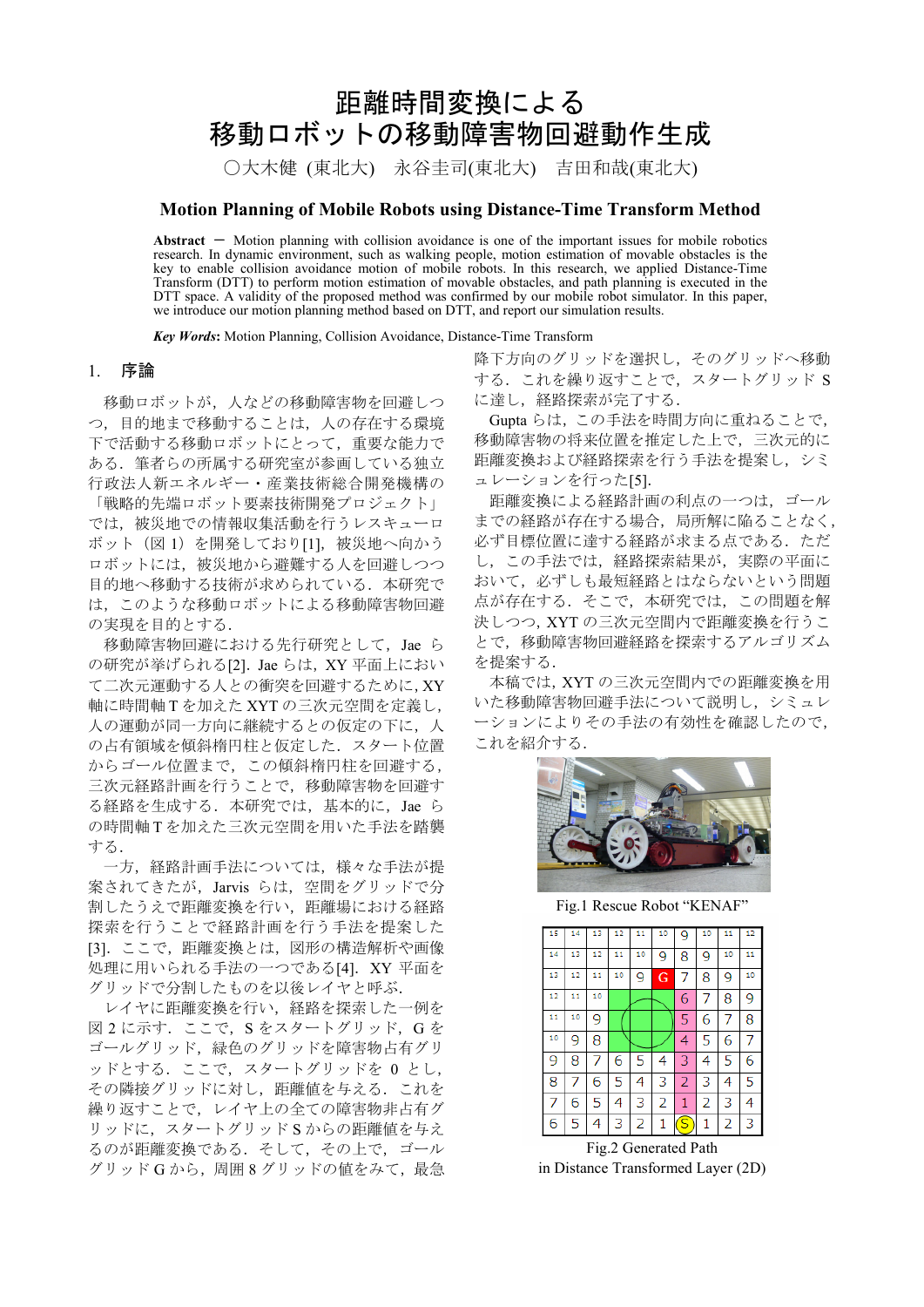# 距離時間変換による 移動ロボットの移動障害物回避動作生成

○大木健(東北大) 永谷圭司(東北大) 吉田和哉(東北大)

# **Motion Planning of Mobile Robots using Distance-Time Transform Method**

Abstract – Motion planning with collision avoidance is one of the important issues for mobile robotics research. In dynamic environment, such as walking people, motion estimation of movable obstacles is the key to enable collision avoidance motion of mobile robots. In this research, we applied Distance-Time Transform (DTT) to perform motion estimation of movable obstacles, and path planning is executed in the DTT space. A validity of the proposed method was confirmed by our mobile robot simulator. In this paper, we introduce our motion planning method based on DTT, and report our simulation results.

*Key Words***:** Motion Planning, Collision Avoidance, Distance-Time Transform

#### 1. 序論

移動ロボットが、人などの移動障害物を回避しつ つ、目的地まで移動することは、人の存在する環境 下で活動する移動ロボットにとって、重要な能力で ある。筆者らの所属する研究室が参画している独立 行政法人新エネルギー·産業技術総合開発機構の 「戦略的先端ロボット要素技術開発プロジェクト」 では、被災地での情報収集活動を行うレスキューロ ボット (図1) を開発しており[1]. 被災地へ向かう ロボットには、被災地から避難する人を回避しつつ 目的地へ移動する技術が求められている。本研究で は、このような移動ロボットによる移動障害物回避 の実現を目的とする.

移動障害物回避における先行研究として、Jae ら の研究が挙げられる[2]. Jae らは, XY 平面上におい て二次元運動する人との衝突を回避するために, XY 軸に時間軸Tを加えた XYT の三次元空間を定義し, 人の運動が同一方向に継続するとの仮定の下に、人 の占有領域を傾斜楕円柱と仮定した. スタート位置 からゴール位置まで、この傾斜楕円柱を回避する, 三次元経路計画を行うことで、移動障害物を回避す る経路を生成する. 本研究では、基本的に, Jae ら の時間軸Tを加えた三次元空間を用いた手法を踏襲 する.

一方、経路計画手法については、様々な手法が提 案されてきたが, Jarvis らは、空間をグリッドで分 割したうえで距離変換を行い、距離場における経路 探索を行うことで経路計画を行う手法を提案した [3]. ここで、距離変換とは、図形の構造解析や画像 処理に用いられる手法の一つである[4]. XY 平面を グリッドで分割したものを以後レイヤと呼ぶ.

レイヤに距離変換を行い、経路を探索した一例を 図2に示す. ここで, Sをスタートグリッド, Gを ゴールグリッド、緑色のグリッドを障害物占有グリ ッドとする. ここで、スタートグリッドを0とし、 その隣接グリッドに対し、距離値を与える。これを 繰り返すことで、レイヤ上の全ての障害物非占有グ リッドに、スタートグリッドSからの距離値を与え るのが距離変換である。 そして、その上で、ゴール グリッド G から, 周囲 8 グリッドの値をみて, 最急 降下方向のグリッドを選択し、そのグリッドへ移動 する. これを繰り返すことで、スタートグリッド S に達し、経路探索が完了する.

Gupta らは、この手法を時間方向に重ねることで, 移動障害物の将来位置を推定した上で、三次元的に 距離変換および経路探索を行う手法を提案し、シミ ュレーションを行った[5].

距離変換による経路計画の利点の一つは、ゴール までの経路が存在する場合, 局所解に陥ることなく, 必ず目標位置に達する経路が求まる点である。ただ し、この手法では、経路探索結果が、実際の平面に おいて、必ずしも最短経路とはならないという問題 点が存在する。 そこで、本研究では、この問題を解 決しつつ、XYT の三次元空間内で距離変換を行うこ とで、移動障害物回避経路を探索するアルゴリズム を提案する.

本稿では、XYT の三次元空間内での距離変換を用 いた移動障害物回避手法について説明し、シミュレ ーションによりその手法の有効性を確認したので, これを紹介する.



Fig.1 Rescue Robot "KENAF"

| 15 | 14 | 13 | 12 <sub>1</sub> | 11 | 10 | 9                       | 10 | 11 | 12 |
|----|----|----|-----------------|----|----|-------------------------|----|----|----|
| 14 | 13 | 12 | 11              | 10 | 9  | 8                       | 9  | 10 | 11 |
| 13 | 12 | 11 | 10              | 9  | G  | 7                       | 8  | 9  | 10 |
| 12 | 11 | 10 |                 |    |    | 6                       | 7  | 8  | 9  |
| 11 | 10 | 9  |                 |    |    | 5                       | 6  | 7  | 8  |
| 10 | 9  | 8  |                 |    |    | 4                       | 5  | 6  | 7  |
| 9  | 8  | 7  | 6               | 5  | 4  | 3                       | 4  | 5  | 6  |
| 8  | 7  | 6  | 5               | 4  | 3  | $\overline{2}$          | 3  | 4  | 5  |
| 7  | 6  | 5  | 4               | 3  | 2  | 1                       | 2  | 3  | 4  |
| 6  | 5  | 4  | 3               | 2  | 1  | $\overline{\mathsf{s}}$ | 1  | 2  | 3  |

Fig.2 Generated Path in Distance Transformed Layer (2D)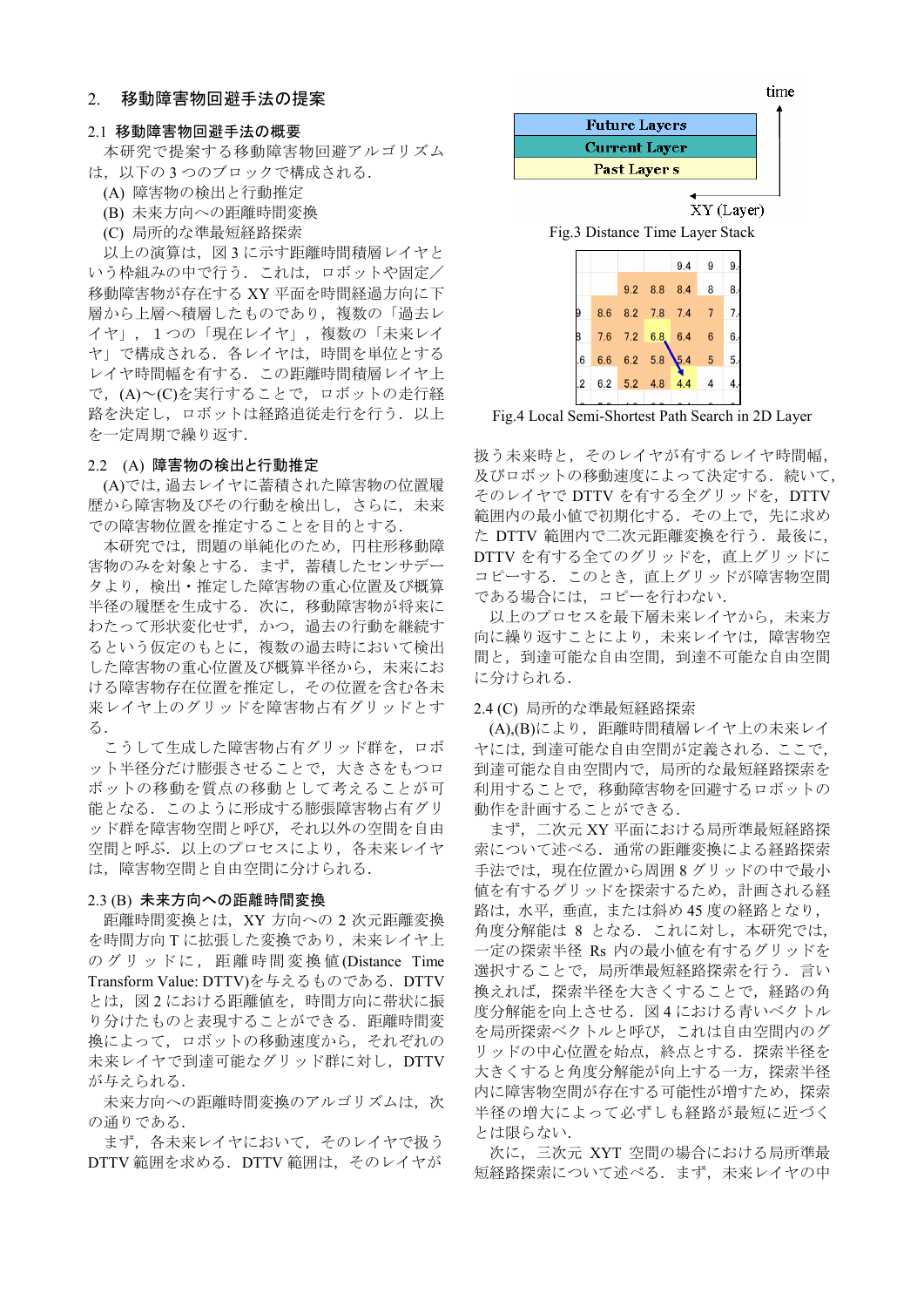## 2. 移動障害物回避手法の提案

#### 2.1 移動障害物回避手法の概要

本研究で提案する移動障害物回避アルゴリズム は、以下の3つのブロックで構成される.

- (A) 障害物の検出と行動推定
- (B) 未来方向への距離時間変換
- (C) 局所的な準最短経路探索

以上の演算は、図3に示す距離時間積層レイヤと いう枠組みの中で行う。これは、ロボットや固定/ 移動障害物が存在する XY 平面を時間経過方向に下 層から上層へ積層したものであり、複数の「過去レ イヤ」、1つの「現在レイヤ」、複数の「未来レイ ヤ」で構成される. 各レイヤは、時間を単位とする レイヤ時間幅を有する. この距離時間積層レイヤ上 で, (A) ~ (C) を実行することで, ロボットの走行経 路を決定し、ロボットは経路追従走行を行う. 以上 を一定周期で繰り返す.

#### 2.2 (A) 障害物の検出と行動推定

(A)では、過去レイヤに蓄積された障害物の位置履 歴から障害物及びその行動を検出し、さらに、未来 での障害物位置を推定することを目的とする.

本研究では、問題の単純化のため、円柱形移動障 害物のみを対象とする. まず、蓄積したセンサデー タより、検出・推定した障害物の重心位置及び概算 半径の履歴を生成する。次に、移動障害物が将来に わたって形状変化せず、かつ、過去の行動を継続す るという仮定のもとに、複数の過去時において検出 した障害物の重心位置及び概算半径から、未来にお ける障害物存在位置を推定し、その位置を含む各未 来レイヤ上のグリッドを障害物占有グリッドとす  $\mathcal{Z}$ .

こうして生成した障害物占有グリッド群を、ロボ ット半径分だけ膨張させることで、大きさをもつロ ボットの移動を質点の移動として考えることが可 能となる. このように形成する膨張障害物占有グリ ッド群を障害物空間と呼び、それ以外の空間を自由 空間と呼ぶ。 以上のプロセスにより、各未来レイヤ は, 障害物空間と自由空間に分けられる.

## 2.3 (B) 未来方向への距離時間変換

距離時間変換とは, XY 方向への 2 次元距離変換 を時間方向Tに拡張した変換であり、未来レイヤ上 のグリッドに, 距離時間変換値(Distance Time Transform Value: DTTV)を与えるものである. DTTV とは、図2における距離値を、時間方向に帯状に振 り分けたものと表現することができる. 距離時間変 換によって、ロボットの移動速度から、それぞれの 未来レイヤで到達可能なグリッド群に対し、DTTV が与えられる.

未来方向への距離時間変換のアルゴリズムは、次 の通りである.

まず、各未来レイヤにおいて、そのレイヤで扱う DTTV 範囲を求める. DTTV 範囲は、そのレイヤが



Fig.4 Local Semi-Shortest Path Search in 2D Layer

扱う未来時と、そのレイヤが有するレイヤ時間幅, 及びロボットの移動速度によって決定する. 続いて, そのレイヤで DTTV を有する全グリッドを、DTTV 範囲内の最小値で初期化する. その上で、先に求め た DTTV 範囲内で二次元距離変換を行う. 最後に, DTTV を有する全てのグリッドを、直上グリッドに コピーする。このとき、直上グリッドが障害物空間 である場合には、コピーを行わない.

以上のプロセスを最下層未来レイヤから、未来方 向に繰り返すことにより、未来レイヤは、障害物空 間と、到達可能な自由空間、到達不可能な自由空間 に分けられる.

#### 2.4 (C) 局所的な準最短経路探索

(A),(B)により、距離時間積層レイヤ上の未来レイ ヤには、到達可能な自由空間が定義される. ここで, 到達可能な自由空間内で、局所的な最短経路探索を 利用することで、移動障害物を回避するロボットの 動作を計画することができる.

まず、二次元 XY 平面における局所準最短経路探 索について述べる. 通常の距離変換による経路探索 手法では、現在位置から周囲8グリッドの中で最小 値を有するグリッドを探索するため、計画される経 路は、水平、垂直、または斜め45度の経路となり、 角度分解能は 8 となる. これに対し、本研究では, 一定の探索半径 Rs 内の最小値を有するグリッドを 選択することで, 局所準最短経路探索を行う. 言い 換えれば、探索半径を大きくすることで、経路の角 度分解能を向上させる. 図4における青いベクトル を局所探索ベクトルと呼び、これは自由空間内のグ リッドの中心位置を始点、終点とする. 探索半径を 大きくすると角度分解能が向上する一方、探索半径 内に障害物空間が存在する可能性が増すため、探索 半径の増大によって必ずしも経路が最短に近づく とは限らない.

次に、三次元 XYT 空間の場合における局所準最 短経路探索について述べる. まず、未来レイヤの中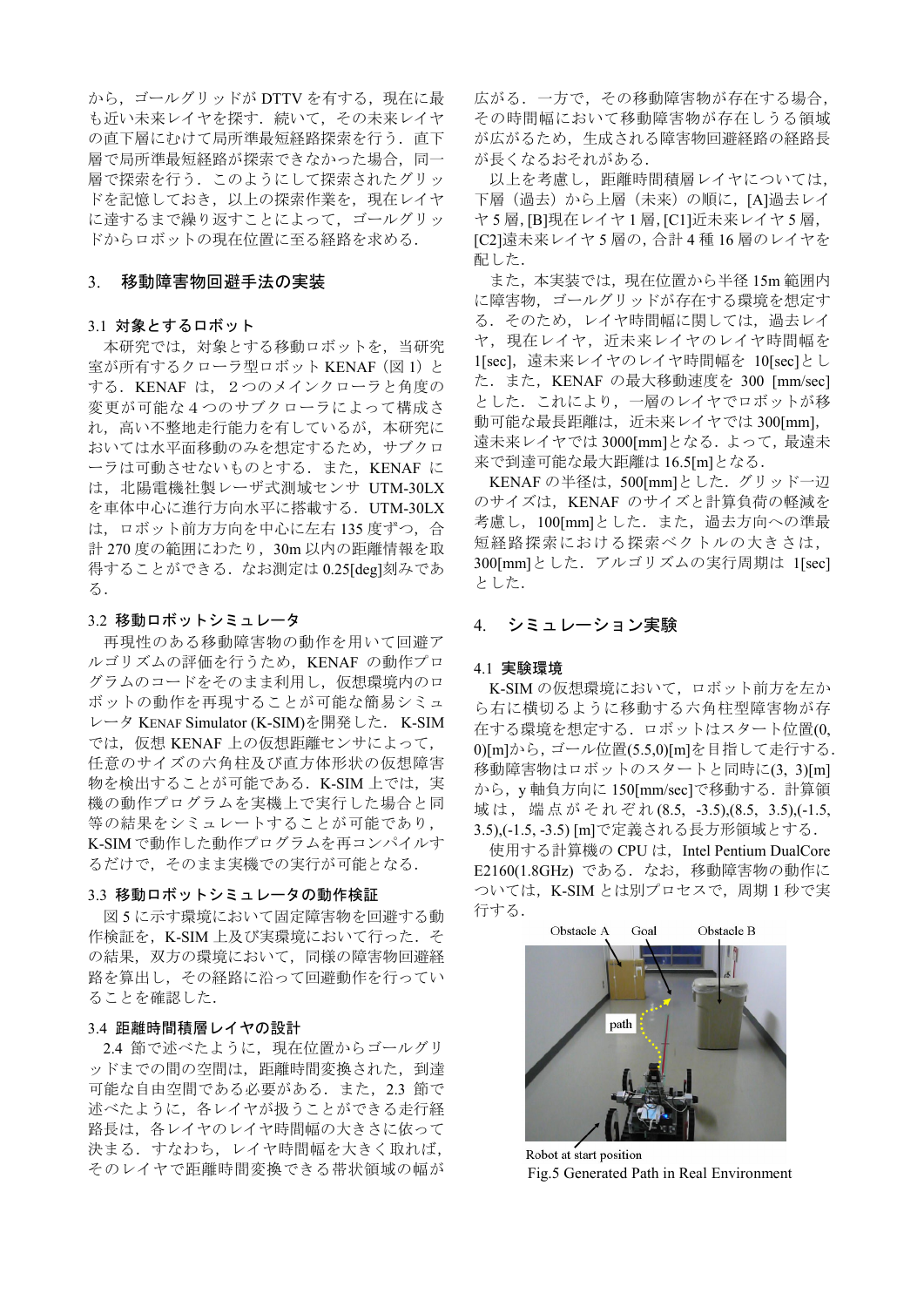から、ゴールグリッドが DTTV を有する、現在に最 も近い未来レイヤを探す。続いて、その未来レイヤ の直下層にむけて局所準最短経路探索を行う. 直下 層で局所準最短経路が探索できなかった場合、同一 層で探索を行う。このようにして探索されたグリッ ドを記憶しておき、以上の探索作業を、現在レイヤ に達するまで繰り返すことによって、ゴールグリッ ドからロボットの現在位置に至る経路を求める.

## 3. 移動障害物回避手法の実装

#### 3.1 対象とするロボット

本研究では、対象とする移動ロボットを、当研究 室が所有するクローラ型ロボット KENAF (図1) と する. KENAF は、2つのメインクローラと角度の 変更が可能な4つのサブクローラによって構成さ れ、高い不整地走行能力を有しているが、本研究に おいては水平面移動のみを想定するため、サブクロ ーラは可動させないものとする. また、KENAF に は、北陽電機社製レーザ式測域センサ UTM-30LX を車体中心に進行方向水平に搭載する. UTM-30LX は、ロボット前方方向を中心に左右135度ずつ、合 計 270 度の範囲にわたり, 30m 以内の距離情報を取 得することができる. なお測定は 0.25[deg]刻みであ  $\delta$ .

## 3.2 移動ロボットシミュレータ

再現性のある移動障害物の動作を用いて回避ア ルゴリズムの評価を行うため、KENAF の動作プロ グラムのコードをそのまま利用し、仮想環境内のロ ボットの動作を再現することが可能な簡易シミュ レータ KENAF Simulator (K-SIM)を開発した. K-SIM では、仮想 KENAF 上の仮想距離センサによって、 任意のサイズの六角柱及び直方体形状の仮想障害 物を検出することが可能である. K-SIM 上では、実 機の動作プログラムを実機上で実行した場合と同 等の結果をシミュレートすることが可能であり, K-SIMで動作した動作プログラムを再コンパイルす るだけで、そのまま実機での実行が可能となる.

# 3.3 移動ロボットシミュレータの動作検証

図5に示す環境において固定障害物を回避する動 作検証を、K-SIM 上及び実環境において行った. そ の結果、双方の環境において、同様の障害物回避経 路を算出し、その経路に沿って回避動作を行ってい ることを確認した.

# 3.4 距離時間積層レイヤの設計

2.4 節で述べたように、現在位置からゴールグリ ッドまでの間の空間は、距離時間変換された、到達 可能な自由空間である必要がある. また、2.3 節で 述べたように、各レイヤが扱うことができる走行経 路長は、 各レイヤのレイヤ時間幅の大きさに依って 決まる、すなわち、レイヤ時間幅を大きく取れば、 そのレイヤで距離時間変換できる帯状領域の幅が

広がる. 一方で、その移動障害物が存在する場合, その時間幅において移動障害物が存在しうる領域 が広がるため、生成される障害物回避経路の経路長 が長くなるおそれがある.

以上を考慮し、距離時間積層レイヤについては, 下層 (過去) から上層 (未来) の順に、[A]過去レイ ヤ5層, [B]現在レイヤ1層, [C1]近未来レイヤ5層, [C2]遠未来レイヤ5層の, 合計4種16層のレイヤを 配した.

また、本実装では、現在位置から半径 15m 範囲内 に障害物、ゴールグリッドが存在する環境を想定す る. そのため、レイヤ時間幅に関しては、過去レイ ヤ、現在レイヤ、近未来レイヤのレイヤ時間幅を 1[sec], 遠未来レイヤのレイヤ時間幅を 10[sec]とし た. また, KENAF の最大移動速度を 300 [mm/sec] とした。これにより、一層のレイヤでロボットが移 動可能な最長距離は、近未来レイヤでは 300[mm], 遠未来レイヤでは 3000[mm]となる. よって、最遠未 来で到達可能な最大距離は 16.5[m]となる.

KENAF の半径は, 500[mm]とした. グリッド一辺 のサイズは、KENAF のサイズと計算負荷の軽減を 考慮し、100[mm]とした. また、過去方向への準最 短経路探索における探索ベクトルの大きさは, 300[mm]とした. アルゴリズムの実行周期は 1[sec] とした.

# 4. シミュレーション実験

## 4.1 実験環境

K-SIM の仮想環境において、ロボット前方を左か ら右に横切るように移動する六角柱型障害物が存 在する環境を想定する. ロボットはスタート位置(0, 0)[m]から、ゴール位置(5.5.0)[m]を目指して走行する. 移動障害物はロボットのスタートと同時に(3,3)[m] から, y軸負方向に 150[mm/sec]で移動する. 計算領 域は、端点がそれぞれ(8.5, -3.5),(8.5, 3.5),(-1.5, 3.5),(-1.5, -3.5) [m]で定義される長方形領域とする.

使用する計算機の CPU は, Intel Pentium DualCore E2160(1.8GHz) である. なお、移動障害物の動作に ついては, K-SIM とは別プロセスで, 周期1秒で実 行する.



Robot at start position Fig.5 Generated Path in Real Environment